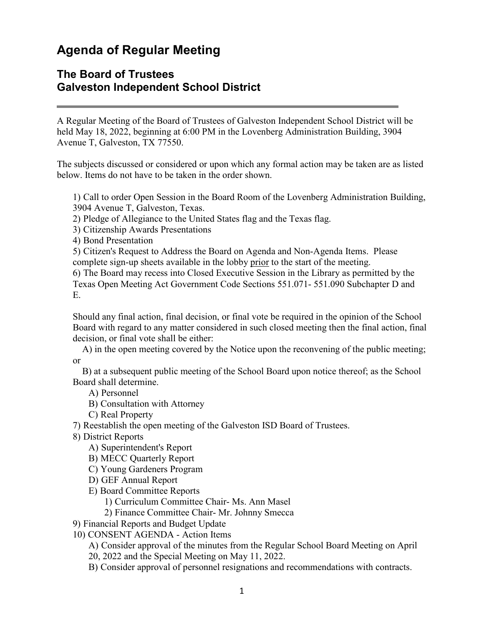## **Agenda of Regular Meeting**

## **The Board of Trustees Galveston Independent School District**

A Regular Meeting of the Board of Trustees of Galveston Independent School District will be held May 18, 2022, beginning at 6:00 PM in the Lovenberg Administration Building, 3904 Avenue T, Galveston, TX 77550.

The subjects discussed or considered or upon which any formal action may be taken are as listed below. Items do not have to be taken in the order shown.

1) Call to order Open Session in the Board Room of the Lovenberg Administration Building, 3904 Avenue T, Galveston, Texas.

2) Pledge of Allegiance to the United States flag and the Texas flag.

- 3) Citizenship Awards Presentations
- 4) Bond Presentation

5) Citizen's Request to Address the Board on Agenda and Non-Agenda Items. Please complete sign-up sheets available in the lobby prior to the start of the meeting.

6) The Board may recess into Closed Executive Session in the Library as permitted by the Texas Open Meeting Act Government Code Sections 551.071- 551.090 Subchapter D and E.

Should any final action, final decision, or final vote be required in the opinion of the School Board with regard to any matter considered in such closed meeting then the final action, final decision, or final vote shall be either:

A) in the open meeting covered by the Notice upon the reconvening of the public meeting; or

B) at a subsequent public meeting of the School Board upon notice thereof; as the School Board shall determine.

A) Personnel

B) Consultation with Attorney

C) Real Property

7) Reestablish the open meeting of the Galveston ISD Board of Trustees.

- 8) District Reports
	- A) Superintendent's Report
	- B) MECC Quarterly Report
	- C) Young Gardeners Program
	- D) GEF Annual Report
	- E) Board Committee Reports
		- 1) Curriculum Committee Chair- Ms. Ann Masel
		- 2) Finance Committee Chair- Mr. Johnny Smecca
- 9) Financial Reports and Budget Update
- 10) CONSENT AGENDA Action Items
	- A) Consider approval of the minutes from the Regular School Board Meeting on April
	- 20, 2022 and the Special Meeting on May 11, 2022.
	- B) Consider approval of personnel resignations and recommendations with contracts.